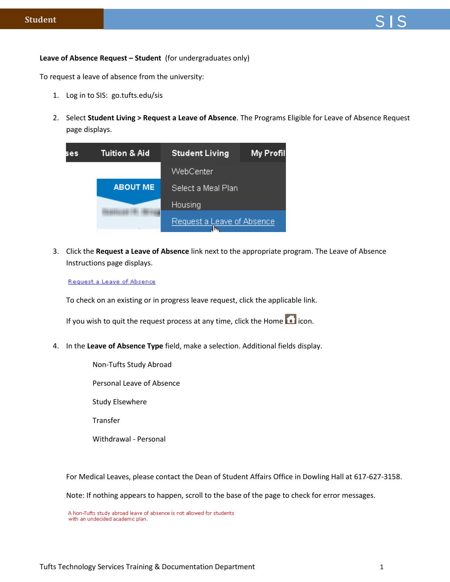## **Leave of Absence Request – Student** (for undergraduates only)

To request a leave of absence from the university:

- 1. Log in to SIS: go.tufts.edu/sis
- 2. Select **Student Living > Request a Leave of Absence**. The Programs Eligible for Leave of Absence Request page displays.

| ses | Tuition & Aid   | <b>Student Living</b>            | My Profil |
|-----|-----------------|----------------------------------|-----------|
|     |                 | WebCenter                        |           |
|     | <b>ABOUT ME</b> | Select a Meal Plan               |           |
|     |                 | <b>Housing</b>                   |           |
|     |                 | Request a Leave of Absence<br>Im |           |

3. Click the **Request a Leave of Absence** link next to the appropriate program. The Leave of Absence Instructions page displays.

Request a Leave of Absence

To check on an existing or in progress leave request, click the applicable link.

If you wish to quit the request process at any time, click the Home  $\blacksquare$  icon.

4. In the **Leave of Absence Type** field, make a selection. Additional fields display.

Non-Tufts Study Abroad

Personal Leave of Absence

Study Elsewhere

Transfer

Withdrawal - Personal

For Medical Leaves, please contact the Dean of Student Affairs Office in Dowling Hall at 617-627-3158.

Note: If nothing appears to happen, scroll to the base of the page to check for error messages.

A Non-Tufts study abroad leave of absence is not allowed for students with an undecided academic plan.